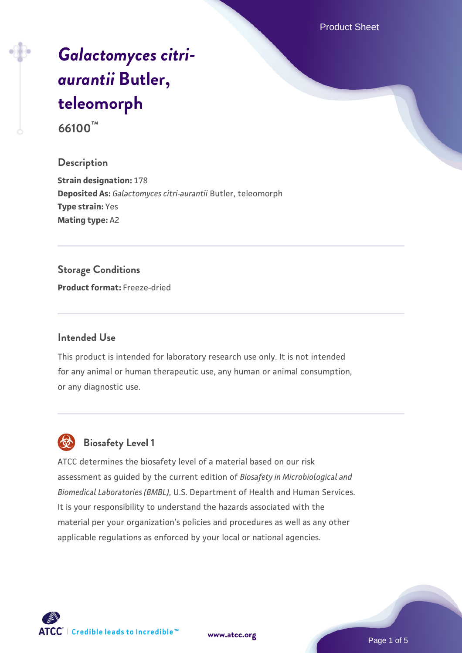Product Sheet

# *[Galactomyces citri](https://www.atcc.org/products/66100)[aurantii](https://www.atcc.org/products/66100)* **[Butler,](https://www.atcc.org/products/66100) [teleomorph](https://www.atcc.org/products/66100)**

**66100™**

#### **Description**

**Strain designation:** 178 **Deposited As:** *Galactomyces citri-aurantii* Butler, teleomorph **Type strain:** Yes **Mating type:** A2

#### **Storage Conditions**

**Product format:** Freeze-dried

#### **Intended Use**

This product is intended for laboratory research use only. It is not intended for any animal or human therapeutic use, any human or animal consumption, or any diagnostic use.

## **Biosafety Level 1**

ATCC determines the biosafety level of a material based on our risk assessment as guided by the current edition of *Biosafety in Microbiological and Biomedical Laboratories (BMBL)*, U.S. Department of Health and Human Services. It is your responsibility to understand the hazards associated with the material per your organization's policies and procedures as well as any other applicable regulations as enforced by your local or national agencies.

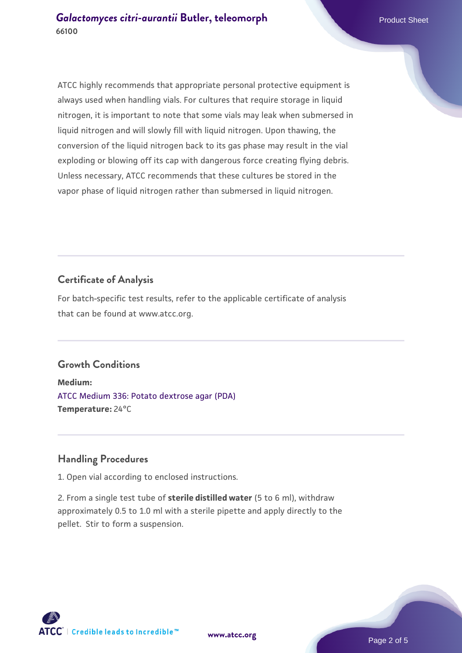ATCC highly recommends that appropriate personal protective equipment is always used when handling vials. For cultures that require storage in liquid nitrogen, it is important to note that some vials may leak when submersed in liquid nitrogen and will slowly fill with liquid nitrogen. Upon thawing, the conversion of the liquid nitrogen back to its gas phase may result in the vial exploding or blowing off its cap with dangerous force creating flying debris. Unless necessary, ATCC recommends that these cultures be stored in the vapor phase of liquid nitrogen rather than submersed in liquid nitrogen.

#### **Certificate of Analysis**

For batch-specific test results, refer to the applicable certificate of analysis that can be found at www.atcc.org.

#### **Growth Conditions**

**Medium:**  [ATCC Medium 336: Potato dextrose agar \(PDA\)](https://www.atcc.org/-/media/product-assets/documents/microbial-media-formulations/3/3/6/atcc-medium-336.pdf?rev=d9160ad44d934cd8b65175461abbf3b9) **Temperature:** 24°C

#### **Handling Procedures**

1. Open vial according to enclosed instructions.

2. From a single test tube of **sterile distilled water** (5 to 6 ml), withdraw approximately 0.5 to 1.0 ml with a sterile pipette and apply directly to the pellet. Stir to form a suspension.

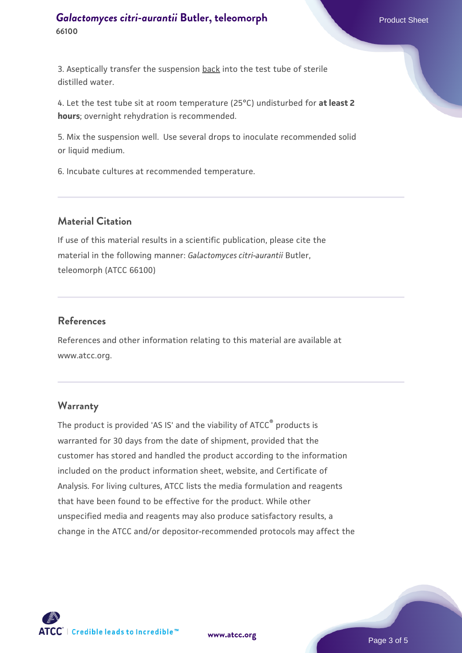#### **[Galactomyces citri-aurantii](https://www.atcc.org/products/66100) [Butler, teleomorph](https://www.atcc.org/products/66100)** Product Sheet **66100**

3. Aseptically transfer the suspension back into the test tube of sterile distilled water.

4. Let the test tube sit at room temperature (25°C) undisturbed for **at least 2 hours**; overnight rehydration is recommended.

5. Mix the suspension well. Use several drops to inoculate recommended solid or liquid medium.

6. Incubate cultures at recommended temperature.

#### **Material Citation**

If use of this material results in a scientific publication, please cite the material in the following manner: *Galactomyces citri-aurantii* Butler, teleomorph (ATCC 66100)

#### **References**

References and other information relating to this material are available at www.atcc.org.

### **Warranty**

The product is provided 'AS IS' and the viability of ATCC® products is warranted for 30 days from the date of shipment, provided that the customer has stored and handled the product according to the information included on the product information sheet, website, and Certificate of Analysis. For living cultures, ATCC lists the media formulation and reagents that have been found to be effective for the product. While other unspecified media and reagents may also produce satisfactory results, a change in the ATCC and/or depositor-recommended protocols may affect the



**[www.atcc.org](http://www.atcc.org)**

Page 3 of 5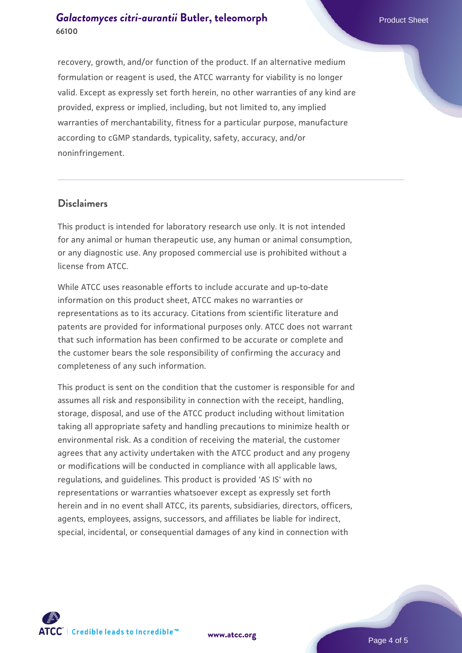#### **[Galactomyces citri-aurantii](https://www.atcc.org/products/66100) [Butler, teleomorph](https://www.atcc.org/products/66100)** Product Sheet **66100**

recovery, growth, and/or function of the product. If an alternative medium formulation or reagent is used, the ATCC warranty for viability is no longer valid. Except as expressly set forth herein, no other warranties of any kind are provided, express or implied, including, but not limited to, any implied warranties of merchantability, fitness for a particular purpose, manufacture according to cGMP standards, typicality, safety, accuracy, and/or noninfringement.

#### **Disclaimers**

This product is intended for laboratory research use only. It is not intended for any animal or human therapeutic use, any human or animal consumption, or any diagnostic use. Any proposed commercial use is prohibited without a license from ATCC.

While ATCC uses reasonable efforts to include accurate and up-to-date information on this product sheet, ATCC makes no warranties or representations as to its accuracy. Citations from scientific literature and patents are provided for informational purposes only. ATCC does not warrant that such information has been confirmed to be accurate or complete and the customer bears the sole responsibility of confirming the accuracy and completeness of any such information.

This product is sent on the condition that the customer is responsible for and assumes all risk and responsibility in connection with the receipt, handling, storage, disposal, and use of the ATCC product including without limitation taking all appropriate safety and handling precautions to minimize health or environmental risk. As a condition of receiving the material, the customer agrees that any activity undertaken with the ATCC product and any progeny or modifications will be conducted in compliance with all applicable laws, regulations, and guidelines. This product is provided 'AS IS' with no representations or warranties whatsoever except as expressly set forth herein and in no event shall ATCC, its parents, subsidiaries, directors, officers, agents, employees, assigns, successors, and affiliates be liable for indirect, special, incidental, or consequential damages of any kind in connection with



Page 4 of 5